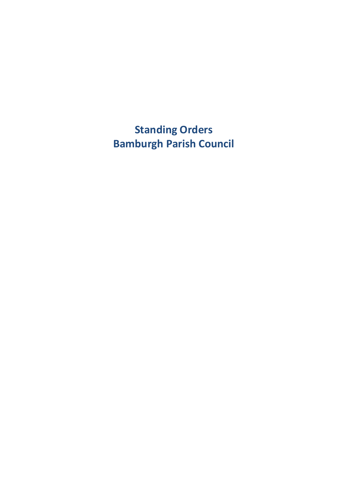**Standing Orders Bamburgh Parish Council**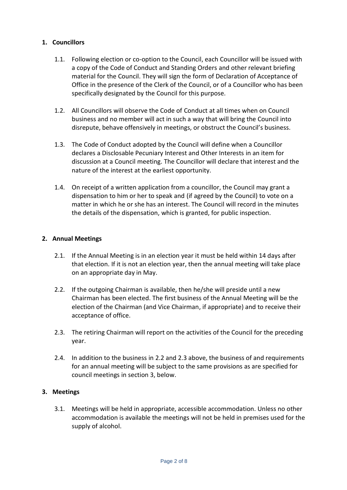# **1. Councillors**

- 1.1. Following election or co-option to the Council, each Councillor will be issued with a copy of the Code of Conduct and Standing Orders and other relevant briefing material for the Council. They will sign the form of Declaration of Acceptance of Office in the presence of the Clerk of the Council, or of a Councillor who has been specifically designated by the Council for this purpose.
- 1.2. All Councillors will observe the Code of Conduct at all times when on Council business and no member will act in such a way that will bring the Council into disrepute, behave offensively in meetings, or obstruct the Council's business.
- 1.3. The Code of Conduct adopted by the Council will define when a Councillor declares a Disclosable Pecuniary Interest and Other Interests in an item for discussion at a Council meeting. The Councillor will declare that interest and the nature of the interest at the earliest opportunity.
- 1.4. On receipt of a written application from a councillor, the Council may grant a dispensation to him or her to speak and (if agreed by the Council) to vote on a matter in which he or she has an interest. The Council will record in the minutes the details of the dispensation, which is granted, for public inspection.

# **2. Annual Meetings**

- 2.1. If the Annual Meeting is in an election year it must be held within 14 days after that election. If it is not an election year, then the annual meeting will take place on an appropriate day in May.
- 2.2. If the outgoing Chairman is available, then he/she will preside until a new Chairman has been elected. The first business of the Annual Meeting will be the election of the Chairman (and Vice Chairman, if appropriate) and to receive their acceptance of office.
- 2.3. The retiring Chairman will report on the activities of the Council for the preceding year.
- 2.4. In addition to the business in 2.2 and 2.3 above, the business of and requirements for an annual meeting will be subject to the same provisions as are specified for council meetings in section 3, below.

# **3. Meetings**

3.1. Meetings will be held in appropriate, accessible accommodation. Unless no other accommodation is available the meetings will not be held in premises used for the supply of alcohol.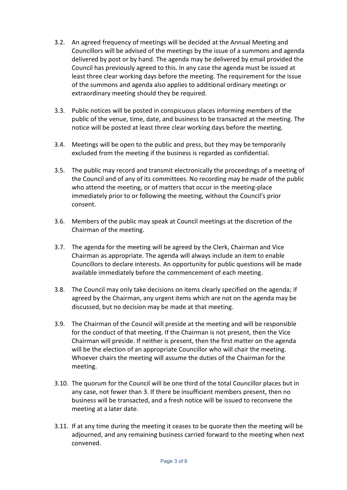- 3.2. An agreed frequency of meetings will be decided at the Annual Meeting and Councillors will be advised of the meetings by the issue of a summons and agenda delivered by post or by hand. The agenda may be delivered by email provided the Council has previously agreed to this. In any case the agenda must be issued at least three clear working days before the meeting. The requirement for the issue of the summons and agenda also applies to additional ordinary meetings or extraordinary meeting should they be required.
- 3.3. Public notices will be posted in conspicuous places informing members of the public of the venue, time, date, and business to be transacted at the meeting. The notice will be posted at least three clear working days before the meeting.
- 3.4. Meetings will be open to the public and press, but they may be temporarily excluded from the meeting if the business is regarded as confidential.
- 3.5. The public may record and transmit electronically the proceedings of a meeting of the Council and of any of its committees. No recording may be made of the public who attend the meeting, or of matters that occur in the meeting-place immediately prior to or following the meeting, without the Council's prior consent.
- 3.6. Members of the public may speak at Council meetings at the discretion of the Chairman of the meeting.
- 3.7. The agenda for the meeting will be agreed by the Clerk, Chairman and Vice Chairman as appropriate. The agenda will always include an item to enable Councillors to declare interests. An opportunity for public questions will be made available immediately before the commencement of each meeting.
- 3.8. The Council may only take decisions on items clearly specified on the agenda; if agreed by the Chairman, any urgent items which are not on the agenda may be discussed, but no decision may be made at that meeting.
- 3.9. The Chairman of the Council will preside at the meeting and will be responsible for the conduct of that meeting. If the Chairman is not present, then the Vice Chairman will preside. If neither is present, then the first matter on the agenda will be the election of an appropriate Councillor who will chair the meeting. Whoever chairs the meeting will assume the duties of the Chairman for the meeting.
- 3.10. The quorum for the Council will be one third of the total Councillor places but in any case, not fewer than 3. If there be insufficient members present, then no business will be transacted, and a fresh notice will be issued to reconvene the meeting at a later date.
- 3.11. If at any time during the meeting it ceases to be quorate then the meeting will be adjourned, and any remaining business carried forward to the meeting when next convened.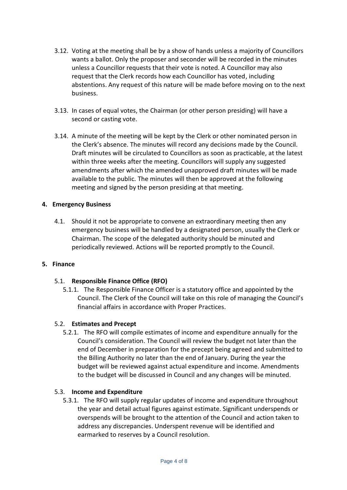- 3.12. Voting at the meeting shall be by a show of hands unless a majority of Councillors wants a ballot. Only the proposer and seconder will be recorded in the minutes unless a Councillor requests that their vote is noted. A Councillor may also request that the Clerk records how each Councillor has voted, including abstentions. Any request of this nature will be made before moving on to the next business.
- 3.13. In cases of equal votes, the Chairman (or other person presiding) will have a second or casting vote.
- 3.14. A minute of the meeting will be kept by the Clerk or other nominated person in the Clerk's absence. The minutes will record any decisions made by the Council. Draft minutes will be circulated to Councillors as soon as practicable, at the latest within three weeks after the meeting. Councillors will supply any suggested amendments after which the amended unapproved draft minutes will be made available to the public. The minutes will then be approved at the following meeting and signed by the person presiding at that meeting.

# **4. Emergency Business**

4.1. Should it not be appropriate to convene an extraordinary meeting then any emergency business will be handled by a designated person, usually the Clerk or Chairman. The scope of the delegated authority should be minuted and periodically reviewed. Actions will be reported promptly to the Council.

## **5. Finance**

## 5.1. **Responsible Finance Office (RFO)**

5.1.1. The Responsible Finance Officer is a statutory office and appointed by the Council. The Clerk of the Council will take on this role of managing the Council's financial affairs in accordance with Proper Practices.

## 5.2. **Estimates and Precept**

5.2.1. The RFO will compile estimates of income and expenditure annually for the Council's consideration. The Council will review the budget not later than the end of December in preparation for the precept being agreed and submitted to the Billing Authority no later than the end of January. During the year the budget will be reviewed against actual expenditure and income. Amendments to the budget will be discussed in Council and any changes will be minuted.

## 5.3. **Income and Expenditure**

5.3.1. The RFO will supply regular updates of income and expenditure throughout the year and detail actual figures against estimate. Significant underspends or overspends will be brought to the attention of the Council and action taken to address any discrepancies. Underspent revenue will be identified and earmarked to reserves by a Council resolution.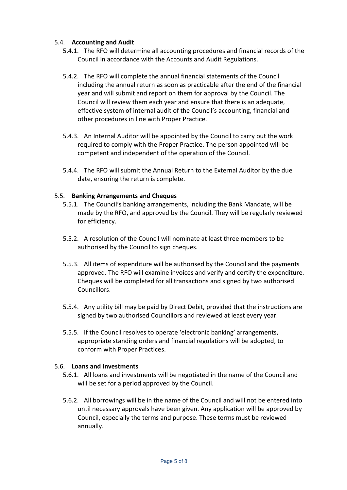# 5.4. **Accounting and Audit**

- 5.4.1. The RFO will determine all accounting procedures and financial records of the Council in accordance with the Accounts and Audit Regulations.
- 5.4.2. The RFO will complete the annual financial statements of the Council including the annual return as soon as practicable after the end of the financial year and will submit and report on them for approval by the Council. The Council will review them each year and ensure that there is an adequate, effective system of internal audit of the Council's accounting, financial and other procedures in line with Proper Practice.
- 5.4.3. An Internal Auditor will be appointed by the Council to carry out the work required to comply with the Proper Practice. The person appointed will be competent and independent of the operation of the Council.
- 5.4.4. The RFO will submit the Annual Return to the External Auditor by the due date, ensuring the return is complete.

## 5.5. **Banking Arrangements and Cheques**

- 5.5.1. The Council's banking arrangements, including the Bank Mandate, will be made by the RFO, and approved by the Council. They will be regularly reviewed for efficiency.
- 5.5.2. A resolution of the Council will nominate at least three members to be authorised by the Council to sign cheques.
- 5.5.3. All items of expenditure will be authorised by the Council and the payments approved. The RFO will examine invoices and verify and certify the expenditure. Cheques will be completed for all transactions and signed by two authorised Councillors.
- 5.5.4. Any utility bill may be paid by Direct Debit, provided that the instructions are signed by two authorised Councillors and reviewed at least every year.
- 5.5.5. If the Council resolves to operate 'electronic banking' arrangements, appropriate standing orders and financial regulations will be adopted, to conform with Proper Practices.

## 5.6. **Loans and Investments**

- 5.6.1. All loans and investments will be negotiated in the name of the Council and will be set for a period approved by the Council.
- 5.6.2. All borrowings will be in the name of the Council and will not be entered into until necessary approvals have been given. Any application will be approved by Council, especially the terms and purpose. These terms must be reviewed annually.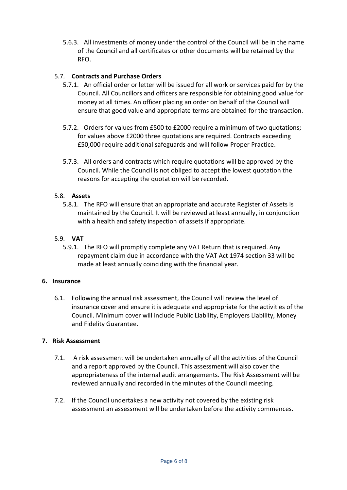5.6.3. All investments of money under the control of the Council will be in the name of the Council and all certificates or other documents will be retained by the RFO.

# 5.7. **Contracts and Purchase Orders**

- 5.7.1. An official order or letter will be issued for all work or services paid for by the Council. All Councillors and officers are responsible for obtaining good value for money at all times. An officer placing an order on behalf of the Council will ensure that good value and appropriate terms are obtained for the transaction.
- 5.7.2. Orders for values from £500 to £2000 require a minimum of two quotations; for values above £2000 three quotations are required. Contracts exceeding £50,000 require additional safeguards and will follow Proper Practice.
- 5.7.3. All orders and contracts which require quotations will be approved by the Council. While the Council is not obliged to accept the lowest quotation the reasons for accepting the quotation will be recorded.

## 5.8. **Assets**

5.8.1. The RFO will ensure that an appropriate and accurate Register of Assets is maintained by the Council. It will be reviewed at least annually**,** in conjunction with a health and safety inspection of assets if appropriate.

## 5.9. **VAT**

5.9.1. The RFO will promptly complete any VAT Return that is required. Any repayment claim due in accordance with the VAT Act 1974 section 33 will be made at least annually coinciding with the financial year.

## **6. Insurance**

6.1. Following the annual risk assessment, the Council will review the level of insurance cover and ensure it is adequate and appropriate for the activities of the Council. Minimum cover will include Public Liability, Employers Liability, Money and Fidelity Guarantee.

## **7. Risk Assessment**

- 7.1. A risk assessment will be undertaken annually of all the activities of the Council and a report approved by the Council. This assessment will also cover the appropriateness of the internal audit arrangements. The Risk Assessment will be reviewed annually and recorded in the minutes of the Council meeting.
- 7.2. If the Council undertakes a new activity not covered by the existing risk assessment an assessment will be undertaken before the activity commences.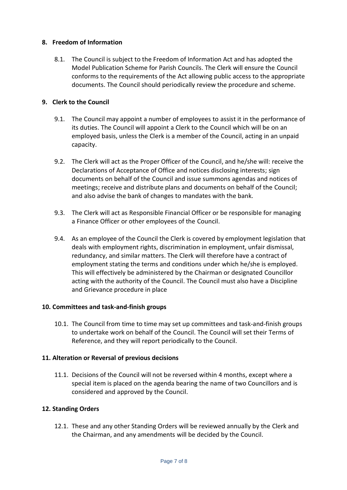# **8. Freedom of Information**

8.1. The Council is subject to the Freedom of Information Act and has adopted the Model Publication Scheme for Parish Councils. The Clerk will ensure the Council conforms to the requirements of the Act allowing public access to the appropriate documents. The Council should periodically review the procedure and scheme.

# **9. Clerk to the Council**

- 9.1. The Council may appoint a number of employees to assist it in the performance of its duties. The Council will appoint a Clerk to the Council which will be on an employed basis, unless the Clerk is a member of the Council, acting in an unpaid capacity.
- 9.2. The Clerk will act as the Proper Officer of the Council, and he/she will: receive the Declarations of Acceptance of Office and notices disclosing interests; sign documents on behalf of the Council and issue summons agendas and notices of meetings; receive and distribute plans and documents on behalf of the Council; and also advise the bank of changes to mandates with the bank.
- 9.3. The Clerk will act as Responsible Financial Officer or be responsible for managing a Finance Officer or other employees of the Council.
- 9.4. As an employee of the Council the Clerk is covered by employment legislation that deals with employment rights, discrimination in employment, unfair dismissal, redundancy, and similar matters. The Clerk will therefore have a contract of employment stating the terms and conditions under which he/she is employed. This will effectively be administered by the Chairman or designated Councillor acting with the authority of the Council. The Council must also have a Discipline and Grievance procedure in place

## **10. Committees and task-and-finish groups**

10.1. The Council from time to time may set up committees and task-and-finish groups to undertake work on behalf of the Council. The Council will set their Terms of Reference, and they will report periodically to the Council.

## **11. Alteration or Reversal of previous decisions**

11.1. Decisions of the Council will not be reversed within 4 months, except where a special item is placed on the agenda bearing the name of two Councillors and is considered and approved by the Council.

## **12. Standing Orders**

12.1. These and any other Standing Orders will be reviewed annually by the Clerk and the Chairman, and any amendments will be decided by the Council.